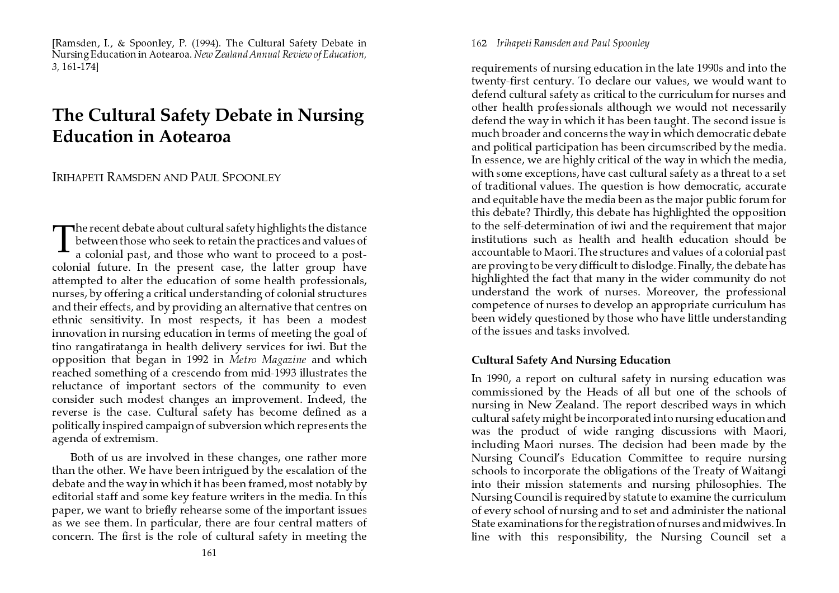[Ramsden, I., & Spoonley, P. (1994). The Cultural Safety Debate in Nursing Education in Aotearoa. *New Zealand Annual Review of Education,* 3, 161-174]

# The Cultural Safety Debate in Nursing Education in Aotearoa

# Irihapeti Ramsden and Paul Spoonley

The recent debate about cultural safety highlights the distance<br>between those who seek to retain the practices and values of between those who seek to retain the practices and values of a colonial past, and those who want to proceed to a postcolonial future. In the present case, the latter group have attempted to alter the education of some health professionals, nurses, by offering a critical understanding of colonial structures and their effects, and by providing an alternative that centres on ethnic sensitivity. In most respects, it has been a modest innovation in nursing education in terms of meeting the goal of tino rangatiratanga in health delivery services for iwi. But the opposition that began in 1992 in *Metro Magazine* and which reached something of a crescendo from mid-1993 illustrates the reluctance of important sectors of the community to even consider such modest changes an improvement. Indeed*,* the reverse is the case. Cultural safety has become defined as a politically inspired campaign of subversion which represents the agenda of extremism.

Both of us are involved in these changes, one rather more than the other. We have been intrigued by the escalation of the debate and the way in which it has been framed, most notably by editorial staff and some key feature writers in the media. In this paper, we want to briefly rehearse some of the important issues as we see them. In particular, there are four central matters of concern. The first is the role of cultural safety in meeting the 162 Irihapeti Ramsden and Paul Spoonley

requirements of nursing education in the late 1990s and into the twenty-first century. To declare our values, we would want to defend cultural safety as critical to the curriculum for nurses and other health professionals although we would not necessarily defend the way in which it has been taught. The second issue is much broader and concerns the way in which democratic debate and political participation has been circumscribed by the media. In essence, we are highly critical of the way in which the media, with some exceptions, have cast cultural safety as a threat to a set of traditional values. The question is how democratic, accurate and equitable have the media been as the major public forum for this debate? Thirdly, this debate has highlighted the opposition to the self-determination of iwi and the requirement that major institutions such as health and health education should be accountable to Maori. The structures and values of a colonial past are proving to be very difficult to dislodge. Finally, the debate has highlighted the fact that many in the wider community do not understand the work of nurses. Moreover, the professional competence of nurses to develop an appropriate curriculum has been widely questioned by those who have little understanding of the issues and tasks involved.

# Cultural Safety And Nursing Education

In 1990, a report on cultural safety in nursing education was commissioned by the Heads of all but one of the schools of nursing in New Zealand. The report described ways in which cultural safety might be incorporated into nursing education and was the product of wide ranging discussions with Maori, including Maori nurses. The decision had been made by the Nursing Council's Education Committee to require nursing schools to incorporate the obligations of the Treaty of Waitangi into their mission statements and nursing philosophies. The Nursing Council is required by statute to examine the curriculum of every school of nursing and to set and administer the national State examinations for the registration of nurses and midwives. In line with this responsibility, the Nursing Council set a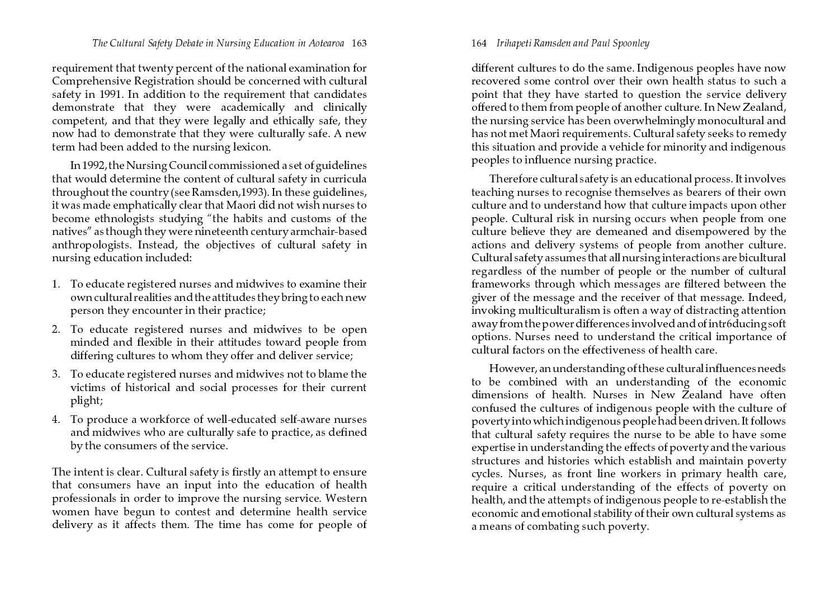requirement that twenty percent of the national examination for Comprehensive Registration should be concerned with cultural safety in 1991. In addition to the requirement that candidates demonstrate that they were academically and clinically competent, and that they were legally and ethically safe, they now had to demonstrate that they were culturally safe. A new term had been added to the nursing lexicon.

In 1992, the Nursing Council commissioned a set of guidelines that would determine the content of cultural safety in curricula throughout the country (see Ramsden,1993). In these guidelines, it was made emphatically clear that Maori did not wish nurses to become ethnologists studying "the habits and customs of the natives" as though they were nineteenth century armchair-based anthropologists. Instead, the objectives of cultural safety in nursing education included:

- 1. To educate registered nurses and midwives to examine their own cultural realities and the attitudes they bring to each new person they encounter in their practice;
- 2. To educate registered nurses and midwives to be open minded and flexible in their attitudes toward people from<br>his continuous differing cultures to whom they offer and deliver service;
- 3. To educate registered nurses and midwives not to blame the victims of historical and social processes for their current plight;
- 4. To produce a workforce of well-educated self-aware nurses and midwives who are culturally safe to practice, as defined by the consumers of the service.

The intent is clear. Cultural safety is firstly an attempt to ensure that consumers have an input into the education of health professionals in order to improve the nursing service. Western women have begun to contest and determine health service delivery as it affects them. The time has come for people of

## 164 Irihapeti Ramsden and Paul Spoonley

different cultures to do the same. Indigenous peoples have now recovered some control over their own health status to such a point that they have started to question the service delivery offered to them from people of another culture. In New Zealand, the nursing service has been overwhelmingly monocultural and has not met Maori requirements. Cultural safety seeks to remedy this situation and provide a vehicle for minority and indigenous peoples to influence nursing practice.

Therefore cultural safety is an educational process. It involves teaching nurses to recognise themselves as bearers of their own culture and to understand how that culture impacts upon other people. Cultural risk in nursing occurs when people from one culture believe they are demeaned and disempowered by the actions and delivery systems of people from another culture. Cultural safety assumes that all nursing interactions are bicultural regardless of the number of people or the number of cultural frameworks through which messages are filtered between the giver of the message and the receiver of that message. Indeed, invoking multiculturalism is often a way of distracting attention away from the power differences involved and of intr6ducing soft options. Nurses need to understand the critical importance of cultural factors on the effectiveness of health care.

However, an understanding of these cultural influences needs to be combined with an understanding of the economic dimensions of health. Nurses in New Zealand have often confused the cultures of indigenous people with the culture of poverty into which indigenous people had been driven. It follows that cultural safety requires the nurse to be able to have some expertise in understanding the effects of poverty and the various structures and histories which establish and maintain poverty cycles. Nurses, as front line workers in primary health care, require a critical understanding of the effects of poverty on health, and the attempts of indigenous people to re-establish the economic and emotional stability of their own cultural systems as a means of combating such poverty.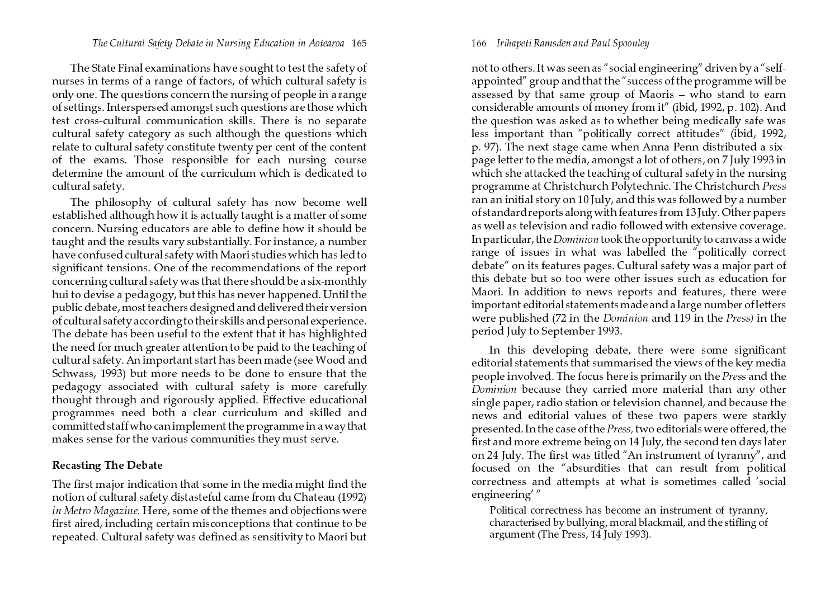The State Final examinations have sought to test the safety of nurses in terms of a range of factors, of which cultural safety is only one. The questions concern the nursing of people in a range of settings. Interspersed amongst such questions are those which test cross-cultural communication skills. There is no separate cultural safety category as such although the questions which relate to cultural safety constitute twenty per cent of the content of the exams. Those responsible for each nursing course determine the amount of the curriculum which is dedicated to cultural safety.

The philosophy of cultural safety has now become well established although how it is actually taught is a matter of some concern. Nursing educators are able to define how it should be taught and the results vary substantially. For instance, a number have confused cultural safety with Maori studies which has led to significant tensions. One of the recommendations of the report concerning cultural safety was that there should be a six-monthly hui to devise a pedagogy, but this has never happened. Until the public debate, most teachers designed and delivered their version of cultural safety according to their skills and personal experience. The debate has been useful to the extent that it has highlighted the need for much greater attention to be paid to the teaching of cultural safety. An important start has been made (see Wood and Schwass, 1993) but more needs to be done to ensure that the pedagogy associated with cultural safety is more carefully thought through and rigorously applied. Effective educational programmes need both a clear curriculum and skilled and committed staff who can implement the programme in a way that makes sense for the various communities they must serve.

# Recasting The Debate

The first major indication that some in the media might find the notion of cultural safety distasteful came from du Chateau (1992) in Metro Magazine. Here, some of the themes and objections were first aired, including certain misconceptions that continue to be repeated. Cultural safety was defined as sensitivity to Maori but

#### 166 Irihapeti Ramsden and Paul Spoonley

not to others. It was seen as "social engineering" driven by a "selfappointed" group and that the "success of the programme will be assessed by that same group of Maoris – who stand to earn considerable amounts of money from it" (ibid, 1992, p. 102). And the question was asked as to whether being medically safe was less important than "politically correct attitudes" (ibid, 1992, p. 97). The next stage came when Anna Penn distributed a sixpage letter to the media, amongst a lot of others, on 7 July 1993 in which she attacked the teaching of cultural safety in the nursing programme at Christchurch Polytechnic. The Christchurch *Press* ran an initial story on 10 July, and this was followed by a number of standard reports along with features from 13 July. Other papers as well as television and radio followed with extensive coverage. In particular, the  ${\it Dominion}$  took the opportunity to canvass a wide range of issues in what was labelled the "politically correct debate" on its features pages. Cultural safety was a major part of this debate but so too were other issues such as education for Maori. In addition to news reports and features, there were important editorial statements made and a large number of letters were published (72 in the Dominion and 119 in the Press) in the period July to September 1993.

In this developing debate, there were some significant editorial statements that summarised the views of the key media people involved. The focus here is primarily on the Press and the Dominion because they carried more material than any other single paper, radio station or television channel, and because the news and editorial values of these two papers were starkly presented. In the case of the  $\mathit{Press},$  two editorials were offered, the first and more extreme being on 14 July, the second ten days later on 24 July. The first was titled "An instrument of tyranny", and focused on the "absurdities that can result from political correctness and attempts at what is sometimes called 'social engineering $^{\prime}$  "

Political correctness has become an instrument of tyranny, characterised by bullying, moral blackmail, and the stifling of argument (The Press, 14 July 1993).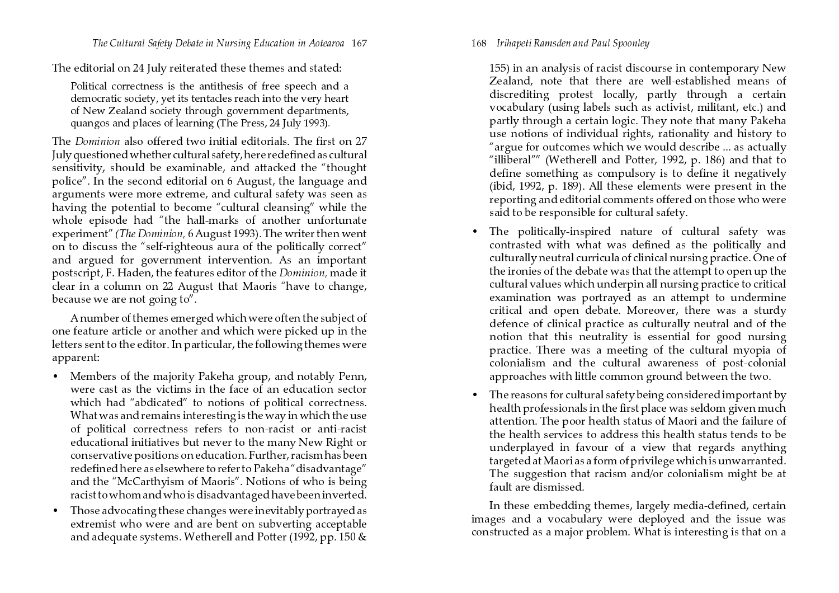The editorial on 24 July reiterated these themes and stated:

Political correctness is the antithesis of free speech and a democratic society, yet its tentacles reach into the very heart of New Zealand society through government departments, quangos and places of learning (The Press, 24 July 1993).

The *Dominion* also offered two initial editorials. The first on 27 July questioned whether cultural safety, here redefined as cultural sensitivity, should be examinable, and attacked the "thought police". In the second editorial on 6 August, the language and arguments were more extreme, and cultural safety was seen as having the potential to become "cultural cleansing" while the whole episode had "the hall-marks of another unfortunate experiment" *(The Dominion,* 6 August 1993). The writer then went on to discuss the "self-righteous aura of the politically correct" and argued for government intervention. As an important postscript, F. Haden, the features editor of the Dominion, made it clear in a column on 22 August that Maoris "have to change, because we are not going to".

A number of themes emerged which were often the subject of one feature article or another and which were picked up in the letters sent to the editor. In particular, the following themes were apparent:

- Members of the majority Pakeha group, and notably Penn, were cast as the victims in the face of an education sector which had "abdicated" to notions of political correctness. What was and remains interesting is the way in which the use of political correctness refers to non-racist or anti-racist educational initiatives but never to the many New Right or conservative positions on education. Further, racism has been redefined here as elsewhere to refer to Pakeha "disadvantage" and the "McCarthyism of Maoris". Notions of who is being racist to whom and who is disadvantaged have been inverted.
- Those advocating these changes were inevitably portrayed as extremist who were and are bent on subverting acceptable and adequate systems. Wetherell and Potter (1992, pp. 150 &

# 168 Irihapeti Ramsden and Paul Spoonley

155) in an analysis of racist discourse in contemporary New Zealand, note that there are well-established means of discrediting protest locally, partly through a certain vocabulary (using labels such as activist, militant, etc.) and partly through a certain logic. They note that many Pakeha use notions of individual rights, rationality and history to "argue for outcomes which we would describe … as actually "illiberal"" (Wetherell and Potter, 1992, p. 186) and that to define something as compulsory is to define it negatively (ibid, 1992, p. 189). All these elements were present in the reporting and editorial comments offered on those who were said to be responsible for cultural safety.

- The politically-inspired nature of cultural safety was contrasted with what was defined as the politically and culturally neutral curricula of clinical nursing practice. One of the ironies of the debate was that the attempt to open up the cultural values which underpin all nursing practice to critical examination was portrayed as an attempt to undermine critical and open debate. Moreover, there was a sturdy defence of clinical practice as culturally neutral and of the notion that this neutrality is essential for good nursing practice. There was a meeting of the cultural myopia of colonialism and the cultural awareness of post-colonial approaches with little common ground between the two.
- $\bullet$ • The reasons for cultural safety being considered important by health professionals in the first place was seldom given much attention. The poor health status of Maori and the failure of the health services to address this health status tends to be underplayed in favour of a view that regards anything targeted at Maori as a form of privilege which is unwarranted. The suggestion that racism and/or colonialism might be at fault are dismissed.

In these embedding themes*,* largely media-defined*,* certain images and a vocabulary were deployed and the issue was constructed as a major problem. What is interesting is that on a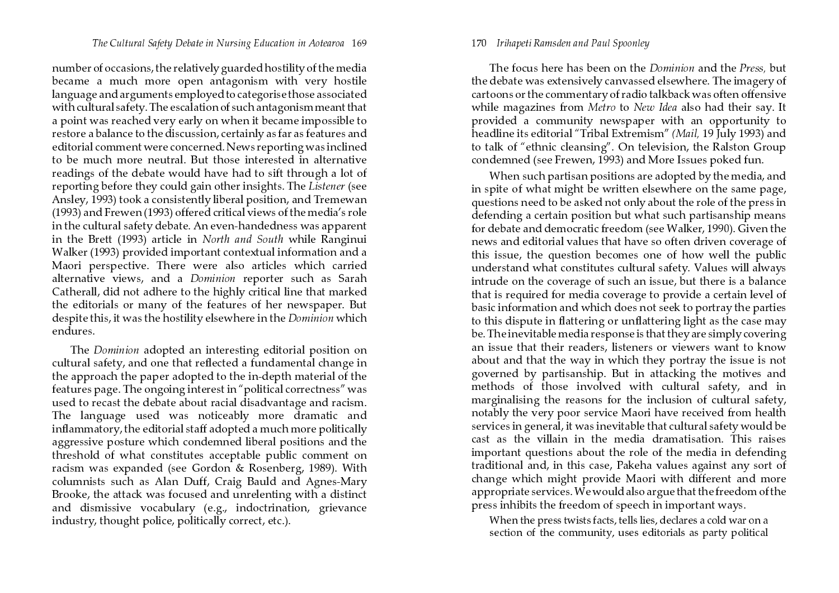number of occasions, the relatively guarded hostility of the media became a much more open antagonism with very hostile language and arguments employed to categorise those associated with cultural safety. The escalation of such antagonism meant that a point was reached very early on when it became impossible to restore a balance to the discussion, certainly as far as features and editorial comment were concerned. News reporting was inclined to be much more neutral. But those interested in alternative readings of the debate would have had to sift through a lot of reporting before they could gain other insights. The Listener (see Ansley, 1993) took a consistently liberal position, and Tremewan (1993) and Frewen (1993) offered critical views of the media's role in the cultural safety debate. An even-handedness was apparent in the Brett (1993) article in North and South while Ranginui Walker (1993) provided important contextual information and a Maori perspective. There were also articles which carried alternative views, and a *Dominion* reporter such as Sarah Catherall, did not adhere to the highly critical line that marked the editorials or many of the features of her newspaper. But despite this, it was the hostility elsewhere in the *Dominion* which endures.

The Dominion adopted an interesting editorial position on cultural safety, and one that reflected a fundamental change in the approach the paper adopted to the in-depth material of the features page. The ongoing interest in "political correctness" was used to recast the debate about racial disadvantage and racism. The language used was noticeably more dramatic and inflammatory, the editorial staff adopted a much more politically aggressive posture which condemned liberal positions and the threshold of what constitutes acceptable public comment on racism was expanded (see Gordon & Rosenberg, 1989). With columnists such as Alan Duff, Craig Bauld and Agnes-Mary Brooke, the attack was focused and unrelenting with a distinct and dismissive vocabulary (e.g., indoctrination, grievance industry, thought police, politically correct, etc.).

#### 170 Irihapeti Ramsden and Paul Spoonley

The focus here has been on the *Dominion* and the *Press*, but the debate was extensively canvassed elsewhere. The imagery of cartoons or the commentary of radio talkback was often offensive while magazines from *Metro* to *New Idea* also had their say. It provided a community newspaper with an opportunity to headline its editorial "Tribal Extremism" *(Mail,* 19 July 1993) and to talk of "ethnic cleansing". On television, the Ralston Group condemned (see Frewen, 1993) and More Issues poked fun.

When such partisan positions are adopted by the media, and in spite of what might be written elsewhere on the same page, questions need to be asked not only about the role of the press in defending a certain position but what such partisanship means for debate and democratic freedom (see Walker, 1990). Given the news and editorial values that have so often driven coverage of this issue, the question becomes one of how well the public understand what constitutes cultural safety. Values will always intrude on the coverage of such an issue, but there is a balance that is required for media coverage to provide a certain level of basic information and which does not seek to portray the parties to this dispute in flattering or unflattering light as the case may be. The inevitable media response is that they are simply covering an issue that their readers*,* listeners or viewers want to know about and that the way in which they portray the issue is not governed by partisanship. But in attacking the motives and methods of those involved with cultural safety, and in marginalising the reasons for the inclusion of cultural safety, notably the very poor service Maori have received from health services in general, it was inevitable that cultural safety would be cast as the villain in the media dramatisation. This raises important questions about the role of the media in defending traditional and, in this case, Pakeha values against any sort of change which might provide Maori with different and more appropriate services. We would also argue that the freedom of the press inhibits the freedom of speech in important ways.

When the press twists facts, tells lies, declares a cold war on a section of the community, uses editorials as party political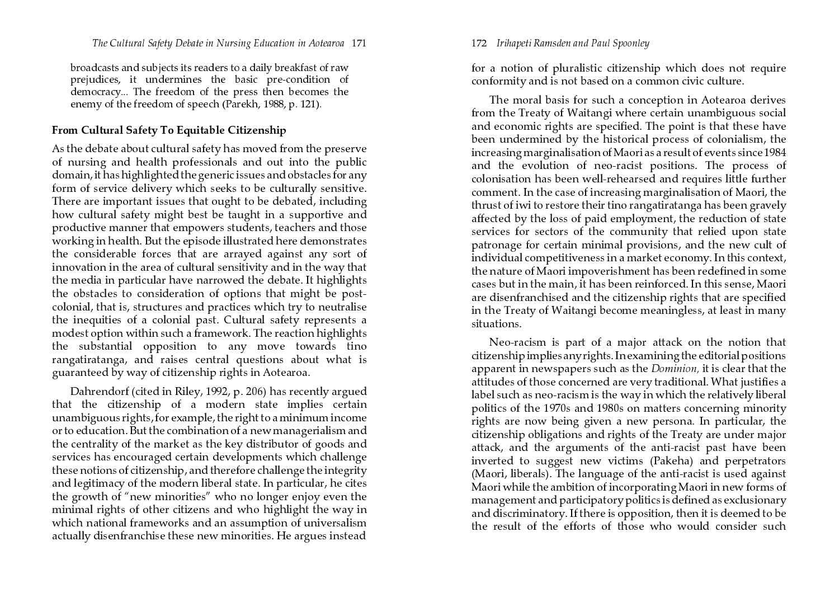broadcasts and subjects its readers to a daily breakfast of raw prejudices, it undermines the basic pre-condition of democracy... The freedom of the press then becomes the enemy of the freedom of speech (Parekh, 1988, p. 121).

# From Cultural Safety To Equitable Citizenship

As the debate about cultural safety has moved from the preserve of nursing and health professionals and out into the public domain, it has highlighted the generic issues and obstacles for any form of service delivery which seeks to be culturally sensitive. There are important issues that ought to be debated, including how cultural safety might best be taught in a supportive and productive manner that empowers students, teachers and those working in health. But the episode illustrated here demonstrates the considerable forces that are arrayed against any sort of innovation in the area of cultural sensitivity and in the way that the media in particular have narrowed the debate. It highlights the obstacles to consideration of options that might be postcolonial, that is, structures and practices which try to neutralise the inequities of a colonial past. Cultural safety represents a modest option within such a framework. The reaction highlights the substantial opposition to any move towards tino rangatiratanga, and raises central questions about what is guaranteed by way of citizenship rights in Aotearoa.

Dahrendorf (cited in Riley, 1992, p. 206) has recently argued that the citizenship of a modern state implies certain unambiguous rights, for example, the right to a minimum income or to education. But the combination of a new managerialism and the centrality of the market as the key distributor of goods and services has encouraged certain developments which challenge these notions of citizenship, and therefore challenge the integrity and legitimacy of the modern liberal state. In particular, he cites the growth of "new minorities" who no longer enjoy even the minimal rights of other citizens and who highlight the way in which national frameworks and an assumption of universalism actually disenfranchise these new minorities. He argues instead

172 Irihapeti Ramsden and Paul Spoonley

for a notion of pluralistic citizenship which does not require conformity and is not based on a common civic culture.

The moral basis for such a conception in Aotearoa derives from the Treaty of Waitangi where certain unambiguous social and economic rights are specified. The point is that these have been undermined by the historical process of colonialism, the increasing marginalisation of Maori as a result of events since 1984 and the evolution of neo-racist positions. The process of colonisation has been well-rehearsed and requires little further comment. In the case of increasing marginalisation of Maori, the thrust of iwi to restore their tino rangatiratanga has been gravely affected by the loss of paid employment, the reduction of state services for sectors of the community that relied upon state patronage for certain minimal provisions, and the new cult of individual competitiveness in a market economy. In this context, the nature of Maori impoverishment has been redefined in some cases but in the main, it has been reinforced. In this sense, Maori are disenfranchised and the citizenship rights that are specified in the Treaty of Waitangi become meaningless, at least in many situations.

Neo-racism is part of a major attack on the notion that  $\,$  citizenship implies any rights. In examining the editorial positions apparent in newspapers such as the  ${\it Dominion}$ , it is clear that the attitudes of those concerned are very traditional. What justifies a label such as neo-racism is the way in which the relatively liberal politics of the 1970s and 1980s on matters concerning minority rights are now being given a new persona. In particular, the citizenship obligations and rights of the Treaty are under major attack, and the arguments of the anti-racist past have been inverted to suggest new victims (Pakeha) and perpetrators (Maori, liberals). The language of the anti-racist is used against Maori while the ambition of incorporating Maori in new forms of  $m$ anagement and participatory politics is defined as exclusionary and discriminatory. If there is opposition, then it is deemed to be the result of the efforts of those who would consider such